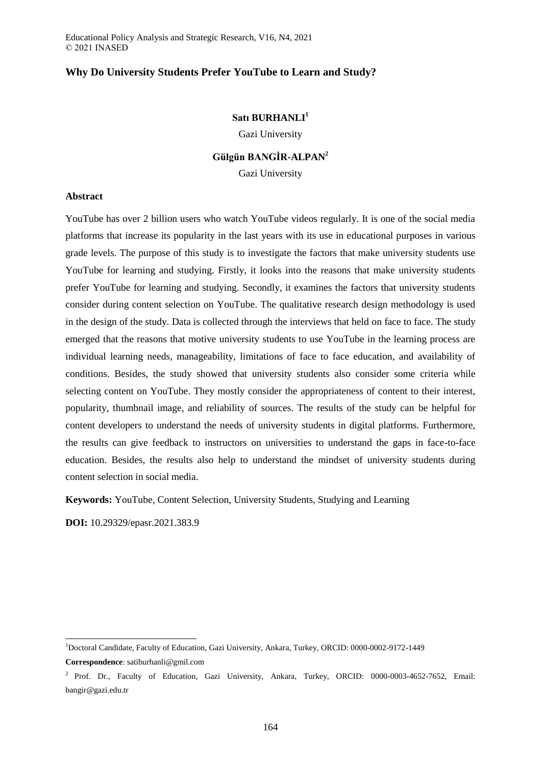# **Why Do University Students Prefer YouTube to Learn and Study?**

# **Satı BURHANLI<sup>1</sup>**

Gazi University

# **Gülgün BANGİR-ALPAN<sup>2</sup>**

Gazi University

## **Abstract**

YouTube has over 2 billion users who watch YouTube videos regularly. It is one of the social media platforms that increase its popularity in the last years with its use in educational purposes in various grade levels. The purpose of this study is to investigate the factors that make university students use YouTube for learning and studying. Firstly, it looks into the reasons that make university students prefer YouTube for learning and studying. Secondly, it examines the factors that university students consider during content selection on YouTube. The qualitative research design methodology is used in the design of the study. Data is collected through the interviews that held on face to face. The study emerged that the reasons that motive university students to use YouTube in the learning process are individual learning needs, manageability, limitations of face to face education, and availability of conditions. Besides, the study showed that university students also consider some criteria while selecting content on YouTube. They mostly consider the appropriateness of content to their interest, popularity, thumbnail image, and reliability of sources. The results of the study can be helpful for content developers to understand the needs of university students in digital platforms. Furthermore, the results can give feedback to instructors on universities to understand the gaps in face-to-face education. Besides, the results also help to understand the mindset of university students during content selection in social media.

**Keywords:** YouTube, Content Selection, University Students, Studying and Learning

**DOI:** 10.29329/epasr.2021.383.9

 $\overline{a}$ 

<sup>1</sup>Doctoral Candidate, Faculty of Education, Gazi University, Ankara, Turkey, ORCID: 0000-0002-9172-1449 **Correspondence**: satiburhanli@gmil.com

<sup>&</sup>lt;sup>2</sup> Prof. Dr., Faculty of Education, Gazi University, Ankara, Turkey, ORCID: 0000-0003-4652-7652, Email: bangir@gazi.edu.tr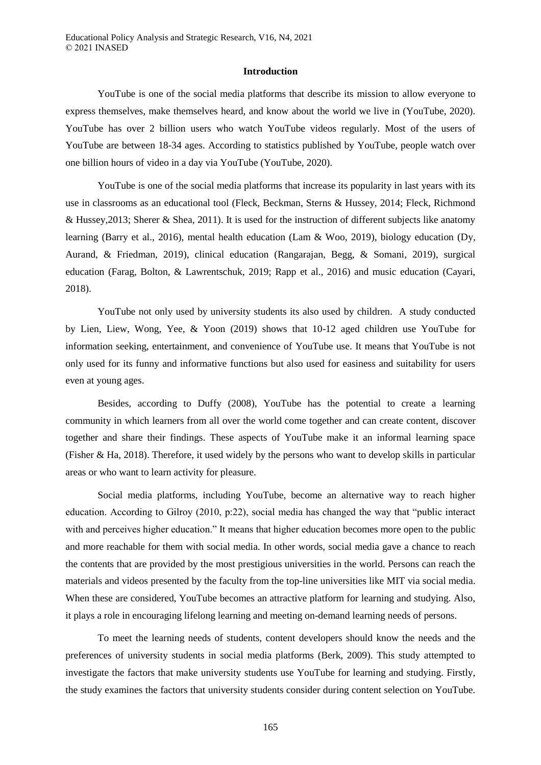#### **Introduction**

YouTube is one of the social media platforms that describe its mission to allow everyone to express themselves, make themselves heard, and know about the world we live in (YouTube, 2020). YouTube has over 2 billion users who watch YouTube videos regularly. Most of the users of YouTube are between 18-34 ages. According to statistics published by YouTube, people watch over one billion hours of video in a day via YouTube (YouTube, 2020).

YouTube is one of the social media platforms that increase its popularity in last years with its use in classrooms as an educational tool (Fleck, Beckman, Sterns & Hussey, 2014; Fleck, Richmond & Hussey,2013; Sherer & Shea, 2011). It is used for the instruction of different subjects like anatomy learning (Barry et al., 2016), mental health education (Lam & Woo, 2019), biology education (Dy, Aurand, & Friedman, 2019), clinical education (Rangarajan, Begg, & Somani, 2019), surgical education (Farag, Bolton, & Lawrentschuk, 2019; Rapp et al., 2016) and music education (Cayari, 2018).

YouTube not only used by university students its also used by children. A study conducted by Lien, Liew, Wong, Yee, & Yoon (2019) shows that 10-12 aged children use YouTube for information seeking, entertainment, and convenience of YouTube use. It means that YouTube is not only used for its funny and informative functions but also used for easiness and suitability for users even at young ages.

Besides, according to Duffy (2008), YouTube has the potential to create a learning community in which learners from all over the world come together and can create content, discover together and share their findings. These aspects of YouTube make it an informal learning space (Fisher & Ha, 2018). Therefore, it used widely by the persons who want to develop skills in particular areas or who want to learn activity for pleasure.

Social media platforms, including YouTube, become an alternative way to reach higher education. According to Gilroy (2010, p:22), social media has changed the way that "public interact with and perceives higher education." It means that higher education becomes more open to the public and more reachable for them with social media. In other words, social media gave a chance to reach the contents that are provided by the most prestigious universities in the world. Persons can reach the materials and videos presented by the faculty from the top-line universities like MIT via social media. When these are considered, YouTube becomes an attractive platform for learning and studying. Also, it plays a role in encouraging lifelong learning and meeting on-demand learning needs of persons.

To meet the learning needs of students, content developers should know the needs and the preferences of university students in social media platforms (Berk, 2009). This study attempted to investigate the factors that make university students use YouTube for learning and studying. Firstly, the study examines the factors that university students consider during content selection on YouTube.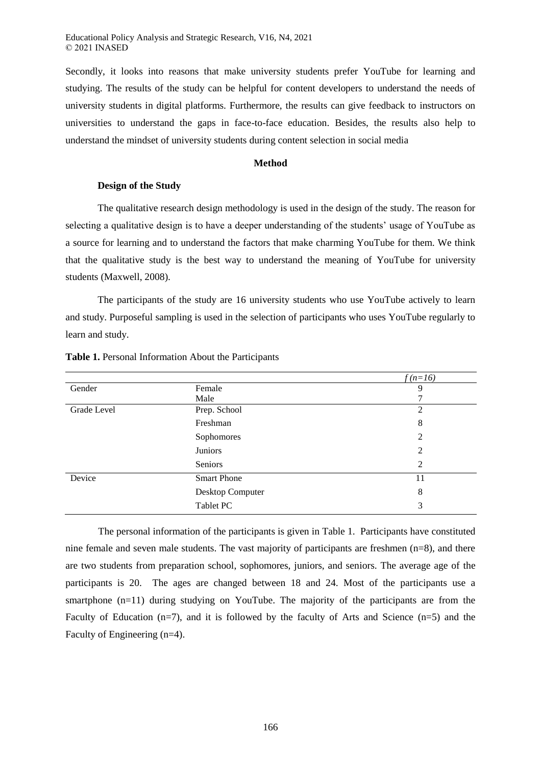Secondly, it looks into reasons that make university students prefer YouTube for learning and studying. The results of the study can be helpful for content developers to understand the needs of university students in digital platforms. Furthermore, the results can give feedback to instructors on universities to understand the gaps in face-to-face education. Besides, the results also help to understand the mindset of university students during content selection in social media

## **Method**

## **Design of the Study**

The qualitative research design methodology is used in the design of the study. The reason for selecting a qualitative design is to have a deeper understanding of the students' usage of YouTube as a source for learning and to understand the factors that make charming YouTube for them. We think that the qualitative study is the best way to understand the meaning of YouTube for university students (Maxwell, 2008).

The participants of the study are 16 university students who use YouTube actively to learn and study. Purposeful sampling is used in the selection of participants who uses YouTube regularly to learn and study.

|             |                    | $f(n=16)$      |
|-------------|--------------------|----------------|
| Gender      | Female             | 9              |
|             | Male               | 7              |
| Grade Level | Prep. School       | $\overline{2}$ |
|             | Freshman           | 8              |
|             | Sophomores         | 2              |
|             | Juniors            | 2              |
|             | Seniors            | 2              |
| Device      | <b>Smart Phone</b> | 11             |
|             | Desktop Computer   | 8              |
|             | Tablet PC          | 3              |

## **Table 1.** Personal Information About the Participants

The personal information of the participants is given in Table 1. Participants have constituted nine female and seven male students. The vast majority of participants are freshmen (n=8), and there are two students from preparation school, sophomores, juniors, and seniors. The average age of the participants is 20. The ages are changed between 18 and 24. Most of the participants use a smartphone  $(n=11)$  during studying on YouTube. The majority of the participants are from the Faculty of Education  $(n=7)$ , and it is followed by the faculty of Arts and Science  $(n=5)$  and the Faculty of Engineering (n=4).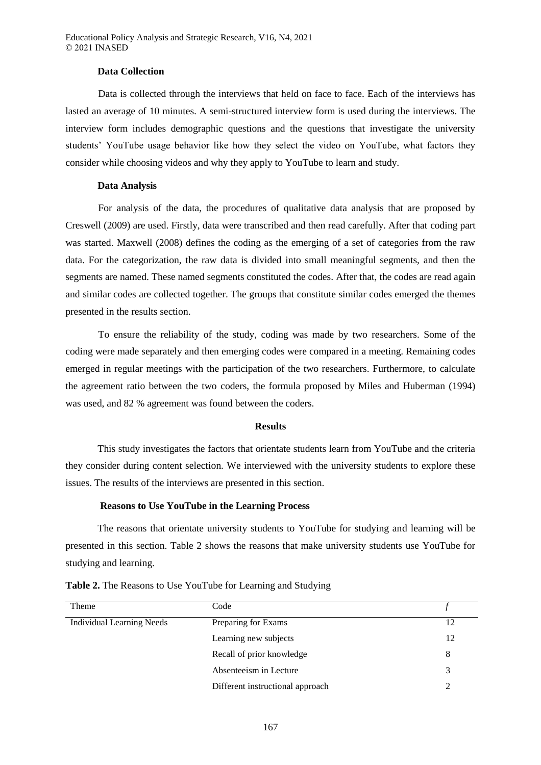## **Data Collection**

Data is collected through the interviews that held on face to face. Each of the interviews has lasted an average of 10 minutes. A semi-structured interview form is used during the interviews. The interview form includes demographic questions and the questions that investigate the university students' YouTube usage behavior like how they select the video on YouTube, what factors they consider while choosing videos and why they apply to YouTube to learn and study.

#### **Data Analysis**

For analysis of the data, the procedures of qualitative data analysis that are proposed by Creswell (2009) are used. Firstly, data were transcribed and then read carefully. After that coding part was started. Maxwell (2008) defines the coding as the emerging of a set of categories from the raw data. For the categorization, the raw data is divided into small meaningful segments, and then the segments are named. These named segments constituted the codes. After that, the codes are read again and similar codes are collected together. The groups that constitute similar codes emerged the themes presented in the results section.

To ensure the reliability of the study, coding was made by two researchers. Some of the coding were made separately and then emerging codes were compared in a meeting. Remaining codes emerged in regular meetings with the participation of the two researchers. Furthermore, to calculate the agreement ratio between the two coders, the formula proposed by Miles and Huberman (1994) was used, and 82 % agreement was found between the coders.

#### **Results**

This study investigates the factors that orientate students learn from YouTube and the criteria they consider during content selection. We interviewed with the university students to explore these issues. The results of the interviews are presented in this section.

## **Reasons to Use YouTube in the Learning Process**

The reasons that orientate university students to YouTube for studying and learning will be presented in this section. Table 2 shows the reasons that make university students use YouTube for studying and learning.

| Theme                            | Code                             |    |
|----------------------------------|----------------------------------|----|
| <b>Individual Learning Needs</b> | Preparing for Exams              | 12 |
|                                  | Learning new subjects            | 12 |
|                                  | Recall of prior knowledge        | 8  |
|                                  | Absenteeism in Lecture           |    |
|                                  | Different instructional approach |    |

**Table 2.** The Reasons to Use YouTube for Learning and Studying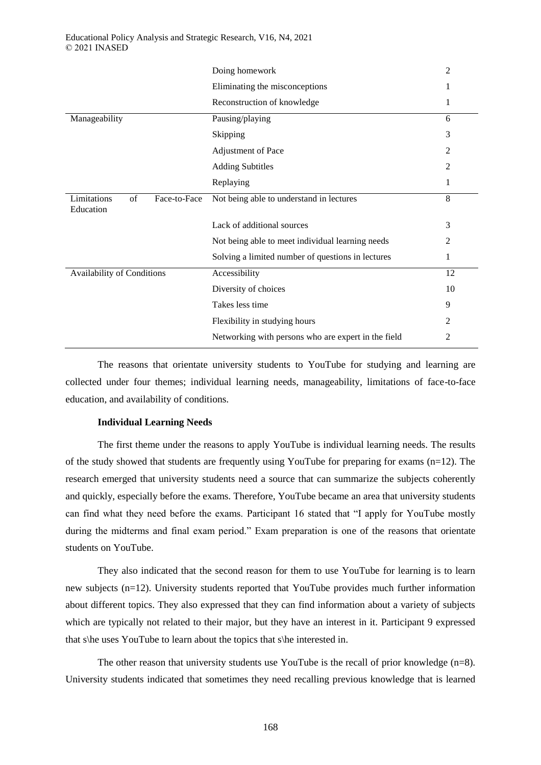|                                                | Doing homework                                      | 2  |
|------------------------------------------------|-----------------------------------------------------|----|
|                                                | Eliminating the misconceptions                      | 1  |
|                                                | Reconstruction of knowledge                         | 1  |
| Manageability                                  | Pausing/playing                                     | 6  |
|                                                | Skipping                                            | 3  |
|                                                | Adjustment of Pace                                  | 2  |
|                                                | <b>Adding Subtitles</b>                             | 2  |
|                                                | Replaying                                           | 1  |
| Limitations<br>of<br>Face-to-Face<br>Education | Not being able to understand in lectures            | 8  |
|                                                | Lack of additional sources                          | 3  |
|                                                | Not being able to meet individual learning needs    | 2  |
|                                                | Solving a limited number of questions in lectures   | 1  |
| Availability of Conditions                     | Accessibility                                       | 12 |
|                                                | Diversity of choices                                | 10 |
|                                                | Takes less time                                     | 9  |
|                                                | Flexibility in studying hours                       | 2  |
|                                                | Networking with persons who are expert in the field | 2  |

The reasons that orientate university students to YouTube for studying and learning are collected under four themes; individual learning needs, manageability, limitations of face-to-face education, and availability of conditions.

## **Individual Learning Needs**

The first theme under the reasons to apply YouTube is individual learning needs. The results of the study showed that students are frequently using YouTube for preparing for exams (n=12). The research emerged that university students need a source that can summarize the subjects coherently and quickly, especially before the exams. Therefore, YouTube became an area that university students can find what they need before the exams. Participant 16 stated that "I apply for YouTube mostly during the midterms and final exam period." Exam preparation is one of the reasons that orientate students on YouTube.

They also indicated that the second reason for them to use YouTube for learning is to learn new subjects (n=12). University students reported that YouTube provides much further information about different topics. They also expressed that they can find information about a variety of subjects which are typically not related to their major, but they have an interest in it. Participant 9 expressed that s\he uses YouTube to learn about the topics that s\he interested in.

The other reason that university students use YouTube is the recall of prior knowledge  $(n=8)$ . University students indicated that sometimes they need recalling previous knowledge that is learned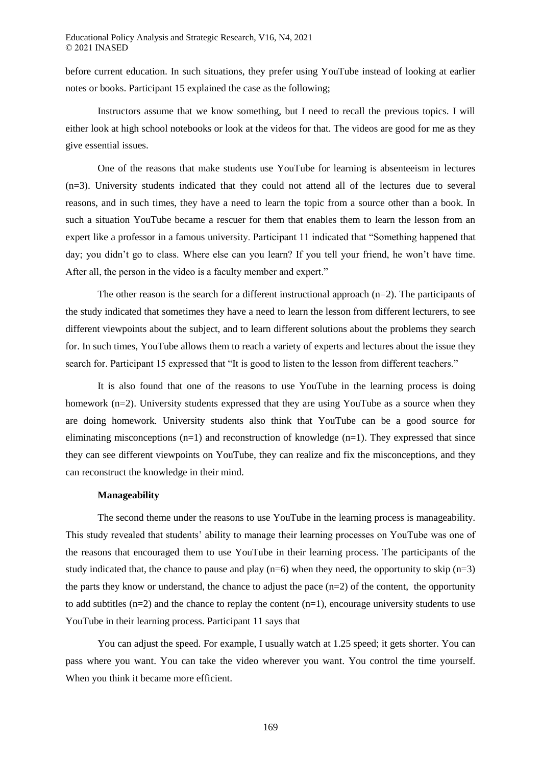before current education. In such situations, they prefer using YouTube instead of looking at earlier notes or books. Participant 15 explained the case as the following;

Instructors assume that we know something, but I need to recall the previous topics. I will either look at high school notebooks or look at the videos for that. The videos are good for me as they give essential issues.

One of the reasons that make students use YouTube for learning is absenteeism in lectures (n=3). University students indicated that they could not attend all of the lectures due to several reasons, and in such times, they have a need to learn the topic from a source other than a book. In such a situation YouTube became a rescuer for them that enables them to learn the lesson from an expert like a professor in a famous university. Participant 11 indicated that "Something happened that day; you didn't go to class. Where else can you learn? If you tell your friend, he won't have time. After all, the person in the video is a faculty member and expert."

The other reason is the search for a different instructional approach  $(n=2)$ . The participants of the study indicated that sometimes they have a need to learn the lesson from different lecturers, to see different viewpoints about the subject, and to learn different solutions about the problems they search for. In such times, YouTube allows them to reach a variety of experts and lectures about the issue they search for. Participant 15 expressed that "It is good to listen to the lesson from different teachers."

It is also found that one of the reasons to use YouTube in the learning process is doing homework (n=2). University students expressed that they are using YouTube as a source when they are doing homework. University students also think that YouTube can be a good source for eliminating misconceptions  $(n=1)$  and reconstruction of knowledge  $(n=1)$ . They expressed that since they can see different viewpoints on YouTube, they can realize and fix the misconceptions, and they can reconstruct the knowledge in their mind.

#### **Manageability**

The second theme under the reasons to use YouTube in the learning process is manageability. This study revealed that students' ability to manage their learning processes on YouTube was one of the reasons that encouraged them to use YouTube in their learning process. The participants of the study indicated that, the chance to pause and play  $(n=6)$  when they need, the opportunity to skip  $(n=3)$ the parts they know or understand, the chance to adjust the pace  $(n=2)$  of the content, the opportunity to add subtitles  $(n=2)$  and the chance to replay the content  $(n=1)$ , encourage university students to use YouTube in their learning process. Participant 11 says that

You can adjust the speed. For example, I usually watch at 1.25 speed; it gets shorter. You can pass where you want. You can take the video wherever you want. You control the time yourself. When you think it became more efficient.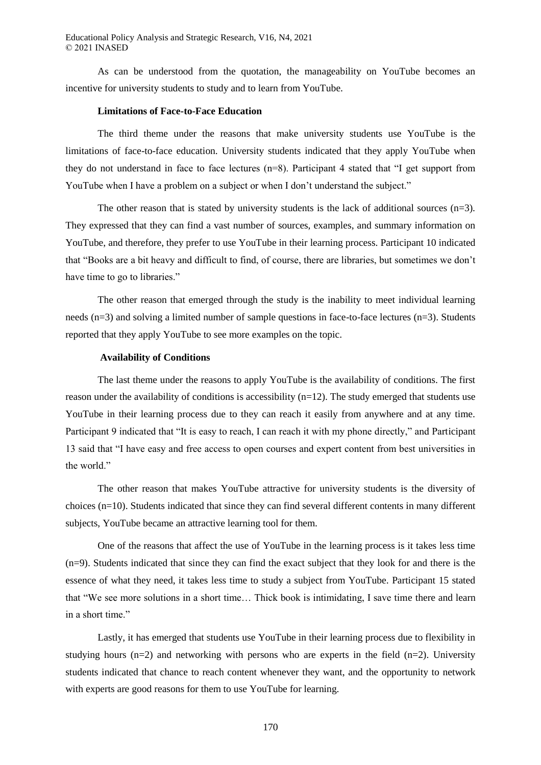As can be understood from the quotation, the manageability on YouTube becomes an incentive for university students to study and to learn from YouTube.

## **Limitations of Face-to-Face Education**

The third theme under the reasons that make university students use YouTube is the limitations of face-to-face education. University students indicated that they apply YouTube when they do not understand in face to face lectures (n=8). Participant 4 stated that "I get support from YouTube when I have a problem on a subject or when I don't understand the subject."

The other reason that is stated by university students is the lack of additional sources  $(n=3)$ . They expressed that they can find a vast number of sources, examples, and summary information on YouTube, and therefore, they prefer to use YouTube in their learning process. Participant 10 indicated that "Books are a bit heavy and difficult to find, of course, there are libraries, but sometimes we don't have time to go to libraries."

The other reason that emerged through the study is the inability to meet individual learning needs (n=3) and solving a limited number of sample questions in face-to-face lectures (n=3). Students reported that they apply YouTube to see more examples on the topic.

#### **Availability of Conditions**

The last theme under the reasons to apply YouTube is the availability of conditions. The first reason under the availability of conditions is accessibility  $(n=12)$ . The study emerged that students use YouTube in their learning process due to they can reach it easily from anywhere and at any time. Participant 9 indicated that "It is easy to reach, I can reach it with my phone directly," and Participant 13 said that "I have easy and free access to open courses and expert content from best universities in the world."

The other reason that makes YouTube attractive for university students is the diversity of choices (n=10). Students indicated that since they can find several different contents in many different subjects, YouTube became an attractive learning tool for them.

One of the reasons that affect the use of YouTube in the learning process is it takes less time (n=9). Students indicated that since they can find the exact subject that they look for and there is the essence of what they need, it takes less time to study a subject from YouTube. Participant 15 stated that "We see more solutions in a short time… Thick book is intimidating, I save time there and learn in a short time."

Lastly, it has emerged that students use YouTube in their learning process due to flexibility in studying hours ( $n=2$ ) and networking with persons who are experts in the field ( $n=2$ ). University students indicated that chance to reach content whenever they want, and the opportunity to network with experts are good reasons for them to use YouTube for learning.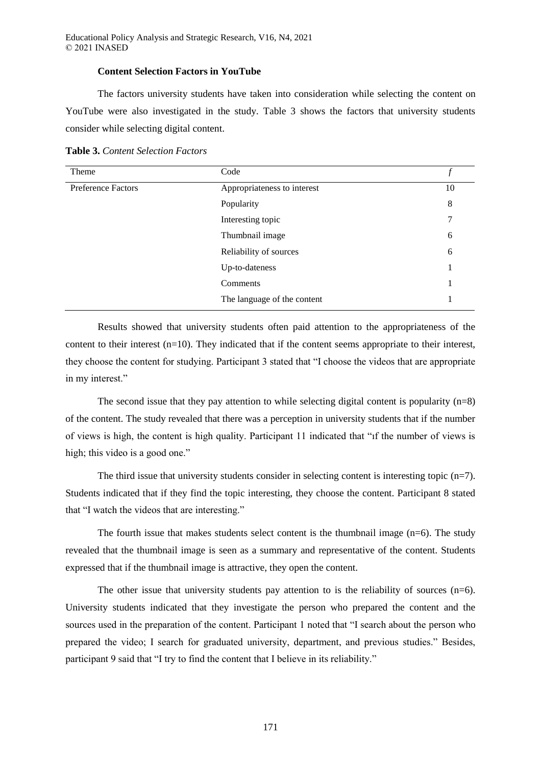Educational Policy Analysis and Strategic Research, V16, N4, 2021 © 2021 INASED

#### **Content Selection Factors in YouTube**

The factors university students have taken into consideration while selecting the content on YouTube were also investigated in the study. Table 3 shows the factors that university students consider while selecting digital content.

**Table 3.** *Content Selection Factors*

| Theme                     | Code                        |    |
|---------------------------|-----------------------------|----|
| <b>Preference Factors</b> | Appropriateness to interest | 10 |
|                           | Popularity                  | 8  |
|                           | Interesting topic           | 7  |
|                           | Thumbnail image             | 6  |
|                           | Reliability of sources      | 6  |
|                           | Up-to-dateness              |    |
|                           | Comments                    |    |
|                           | The language of the content |    |

Results showed that university students often paid attention to the appropriateness of the content to their interest  $(n=10)$ . They indicated that if the content seems appropriate to their interest, they choose the content for studying. Participant 3 stated that "I choose the videos that are appropriate in my interest."

The second issue that they pay attention to while selecting digital content is popularity  $(n=8)$ of the content. The study revealed that there was a perception in university students that if the number of views is high, the content is high quality. Participant 11 indicated that "ıf the number of views is high; this video is a good one."

The third issue that university students consider in selecting content is interesting topic (n=7). Students indicated that if they find the topic interesting, they choose the content. Participant 8 stated that "I watch the videos that are interesting."

The fourth issue that makes students select content is the thumbnail image  $(n=6)$ . The study revealed that the thumbnail image is seen as a summary and representative of the content. Students expressed that if the thumbnail image is attractive, they open the content.

The other issue that university students pay attention to is the reliability of sources (n=6). University students indicated that they investigate the person who prepared the content and the sources used in the preparation of the content. Participant 1 noted that "I search about the person who prepared the video; I search for graduated university, department, and previous studies." Besides, participant 9 said that "I try to find the content that I believe in its reliability."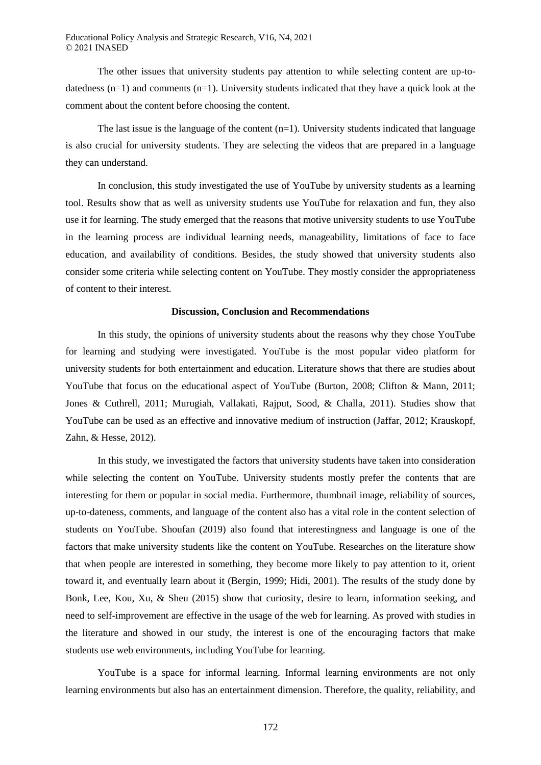The other issues that university students pay attention to while selecting content are up-todatedness (n=1) and comments (n=1). University students indicated that they have a quick look at the comment about the content before choosing the content.

The last issue is the language of the content  $(n=1)$ . University students indicated that language is also crucial for university students. They are selecting the videos that are prepared in a language they can understand.

In conclusion, this study investigated the use of YouTube by university students as a learning tool. Results show that as well as university students use YouTube for relaxation and fun, they also use it for learning. The study emerged that the reasons that motive university students to use YouTube in the learning process are individual learning needs, manageability, limitations of face to face education, and availability of conditions. Besides, the study showed that university students also consider some criteria while selecting content on YouTube. They mostly consider the appropriateness of content to their interest.

## **Discussion, Conclusion and Recommendations**

In this study, the opinions of university students about the reasons why they chose YouTube for learning and studying were investigated. YouTube is the most popular video platform for university students for both entertainment and education. Literature shows that there are studies about YouTube that focus on the educational aspect of YouTube (Burton, 2008; Clifton & Mann, 2011; Jones & Cuthrell, 2011; Murugiah, Vallakati, Rajput, Sood, & Challa, 2011). Studies show that YouTube can be used as an effective and innovative medium of instruction (Jaffar, 2012; Krauskopf, Zahn, & Hesse, 2012).

In this study, we investigated the factors that university students have taken into consideration while selecting the content on YouTube. University students mostly prefer the contents that are interesting for them or popular in social media. Furthermore, thumbnail image, reliability of sources, up-to-dateness, comments, and language of the content also has a vital role in the content selection of students on YouTube. Shoufan (2019) also found that interestingness and language is one of the factors that make university students like the content on YouTube. Researches on the literature show that when people are interested in something, they become more likely to pay attention to it, orient toward it, and eventually learn about it (Bergin, 1999; Hidi, 2001). The results of the study done by Bonk, Lee, Kou, Xu, & Sheu (2015) show that curiosity, desire to learn, information seeking, and need to self-improvement are effective in the usage of the web for learning. As proved with studies in the literature and showed in our study, the interest is one of the encouraging factors that make students use web environments, including YouTube for learning.

YouTube is a space for informal learning. Informal learning environments are not only learning environments but also has an entertainment dimension. Therefore, the quality, reliability, and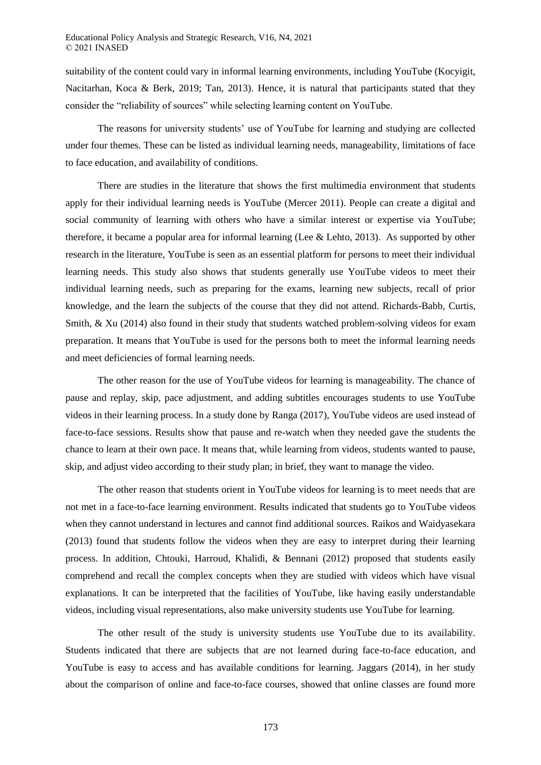suitability of the content could vary in informal learning environments, including YouTube (Kocyigit, Nacitarhan, Koca & Berk, 2019; Tan, 2013). Hence, it is natural that participants stated that they consider the "reliability of sources" while selecting learning content on YouTube.

The reasons for university students' use of YouTube for learning and studying are collected under four themes. These can be listed as individual learning needs, manageability, limitations of face to face education, and availability of conditions.

There are studies in the literature that shows the first multimedia environment that students apply for their individual learning needs is YouTube (Mercer 2011). People can create a digital and social community of learning with others who have a similar interest or expertise via YouTube; therefore, it became a popular area for informal learning (Lee & Lehto, 2013). As supported by other research in the literature, YouTube is seen as an essential platform for persons to meet their individual learning needs. This study also shows that students generally use YouTube videos to meet their individual learning needs, such as preparing for the exams, learning new subjects, recall of prior knowledge, and the learn the subjects of the course that they did not attend. Richards-Babb, Curtis, Smith, & Xu (2014) also found in their study that students watched problem-solving videos for exam preparation. It means that YouTube is used for the persons both to meet the informal learning needs and meet deficiencies of formal learning needs.

The other reason for the use of YouTube videos for learning is manageability. The chance of pause and replay, skip, pace adjustment, and adding subtitles encourages students to use YouTube videos in their learning process. In a study done by Ranga (2017), YouTube videos are used instead of face-to-face sessions. Results show that pause and re-watch when they needed gave the students the chance to learn at their own pace. It means that, while learning from videos, students wanted to pause, skip, and adjust video according to their study plan; in brief, they want to manage the video.

The other reason that students orient in YouTube videos for learning is to meet needs that are not met in a face-to-face learning environment. Results indicated that students go to YouTube videos when they cannot understand in lectures and cannot find additional sources. Raikos and Waidyasekara (2013) found that students follow the videos when they are easy to interpret during their learning process. In addition, Chtouki, Harroud, Khalidi, & Bennani (2012) proposed that students easily comprehend and recall the complex concepts when they are studied with videos which have visual explanations. It can be interpreted that the facilities of YouTube, like having easily understandable videos, including visual representations, also make university students use YouTube for learning.

The other result of the study is university students use YouTube due to its availability. Students indicated that there are subjects that are not learned during face-to-face education, and YouTube is easy to access and has available conditions for learning. Jaggars (2014), in her study about the comparison of online and face-to-face courses, showed that online classes are found more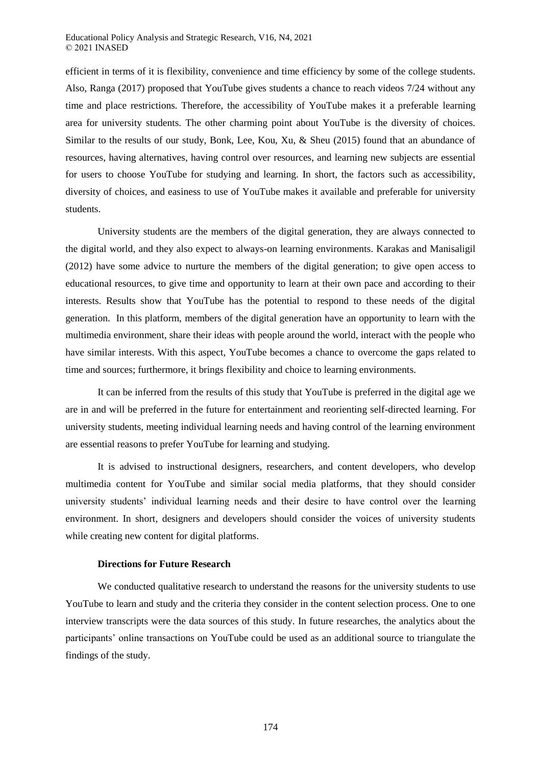efficient in terms of it is flexibility, convenience and time efficiency by some of the college students. Also, Ranga (2017) proposed that YouTube gives students a chance to reach videos 7/24 without any time and place restrictions. Therefore, the accessibility of YouTube makes it a preferable learning area for university students. The other charming point about YouTube is the diversity of choices. Similar to the results of our study, Bonk, Lee, Kou, Xu, & Sheu (2015) found that an abundance of resources, having alternatives, having control over resources, and learning new subjects are essential for users to choose YouTube for studying and learning. In short, the factors such as accessibility, diversity of choices, and easiness to use of YouTube makes it available and preferable for university students.

University students are the members of the digital generation, they are always connected to the digital world, and they also expect to always-on learning environments. Karakas and Manisaligil (2012) have some advice to nurture the members of the digital generation; to give open access to educational resources, to give time and opportunity to learn at their own pace and according to their interests. Results show that YouTube has the potential to respond to these needs of the digital generation. In this platform, members of the digital generation have an opportunity to learn with the multimedia environment, share their ideas with people around the world, interact with the people who have similar interests. With this aspect, YouTube becomes a chance to overcome the gaps related to time and sources; furthermore, it brings flexibility and choice to learning environments.

It can be inferred from the results of this study that YouTube is preferred in the digital age we are in and will be preferred in the future for entertainment and reorienting self-directed learning. For university students, meeting individual learning needs and having control of the learning environment are essential reasons to prefer YouTube for learning and studying.

It is advised to instructional designers, researchers, and content developers, who develop multimedia content for YouTube and similar social media platforms, that they should consider university students' individual learning needs and their desire to have control over the learning environment. In short, designers and developers should consider the voices of university students while creating new content for digital platforms.

## **Directions for Future Research**

We conducted qualitative research to understand the reasons for the university students to use YouTube to learn and study and the criteria they consider in the content selection process. One to one interview transcripts were the data sources of this study. In future researches, the analytics about the participants' online transactions on YouTube could be used as an additional source to triangulate the findings of the study.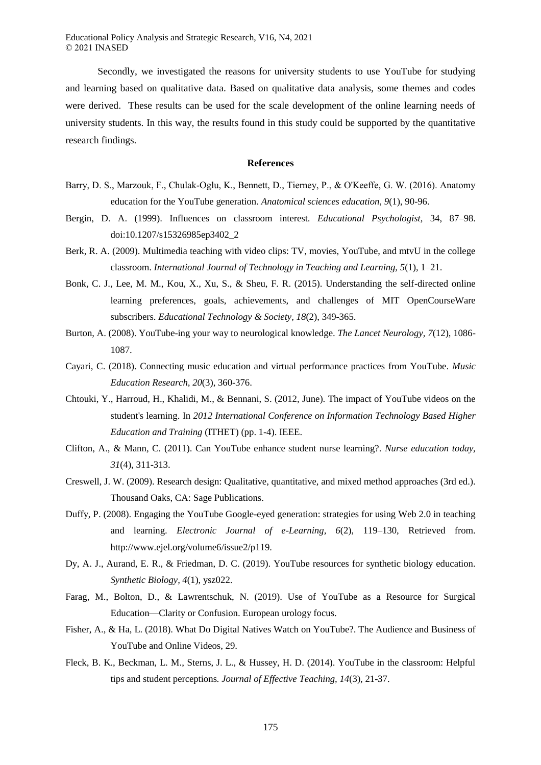Educational Policy Analysis and Strategic Research, V16, N4, 2021 © 2021 INASED

Secondly, we investigated the reasons for university students to use YouTube for studying and learning based on qualitative data. Based on qualitative data analysis, some themes and codes were derived. These results can be used for the scale development of the online learning needs of university students. In this way, the results found in this study could be supported by the quantitative research findings.

## **References**

- Barry, D. S., Marzouk, F., Chulak‐Oglu, K., Bennett, D., Tierney, P., & O'Keeffe, G. W. (2016). Anatomy education for the YouTube generation. *Anatomical sciences education, 9*(1), 90-96.
- Bergin, D. A. (1999). Influences on classroom interest. *Educational Psychologist*, 34, 87–98. doi:10.1207/s15326985ep3402\_2
- Berk, R. A. (2009). Multimedia teaching with video clips: TV, movies, YouTube, and mtvU in the college classroom. *International Journal of Technology in Teaching and Learning, 5*(1), 1–21.
- Bonk, C. J., Lee, M. M., Kou, X., Xu, S., & Sheu, F. R. (2015). Understanding the self-directed online learning preferences, goals, achievements, and challenges of MIT OpenCourseWare subscribers. *Educational Technology & Society, 18*(2), 349-365.
- Burton, A. (2008). YouTube-ing your way to neurological knowledge. *The Lancet Neurology, 7*(12), 1086- 1087.
- Cayari, C. (2018). Connecting music education and virtual performance practices from YouTube. *Music Education Research, 20*(3), 360-376.
- Chtouki, Y., Harroud, H., Khalidi, M., & Bennani, S. (2012, June). The impact of YouTube videos on the student's learning. In *2012 International Conference on Information Technology Based Higher Education and Training* (ITHET) (pp. 1-4). IEEE.
- Clifton, A., & Mann, C. (2011). Can YouTube enhance student nurse learning?. *Nurse education today, 31*(4), 311-313.
- Creswell, J. W. (2009). Research design: Qualitative, quantitative, and mixed method approaches (3rd ed.). Thousand Oaks, CA: Sage Publications.
- Duffy, P. (2008). Engaging the YouTube Google-eyed generation: strategies for using Web 2.0 in teaching and learning. *Electronic Journal of e-Learning, 6*(2), 119–130, Retrieved from. http://www.ejel.org/volume6/issue2/p119.
- Dy, A. J., Aurand, E. R., & Friedman, D. C. (2019). YouTube resources for synthetic biology education. *Synthetic Biology, 4*(1), ysz022.
- Farag, M., Bolton, D., & Lawrentschuk, N. (2019). Use of YouTube as a Resource for Surgical Education—Clarity or Confusion. European urology focus.
- Fisher, A., & Ha, L. (2018). What Do Digital Natives Watch on YouTube?. The Audience and Business of YouTube and Online Videos, 29.
- Fleck, B. K., Beckman, L. M., Sterns, J. L., & Hussey, H. D. (2014). YouTube in the classroom: Helpful tips and student perceptions*. Journal of Effective Teaching, 14*(3), 21-37.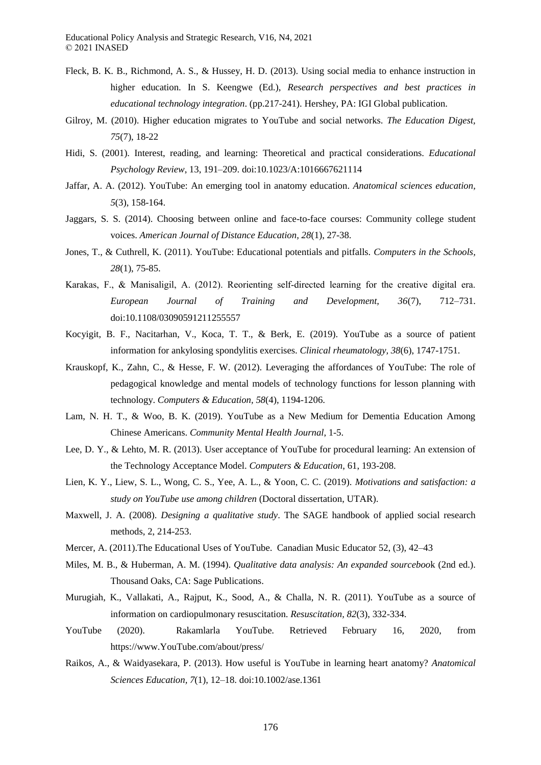- Fleck, B. K. B., Richmond, A. S., & Hussey, H. D. (2013). Using social media to enhance instruction in higher education. In S. Keengwe (Ed.), *Research perspectives and best practices in educational technology integration*. (pp.217-241). Hershey, PA: IGI Global publication.
- Gilroy, M. (2010). Higher education migrates to YouTube and social networks. *The Education Digest, 75*(7), 18-22
- Hidi, S. (2001). Interest, reading, and learning: Theoretical and practical considerations. *Educational Psychology Review*, 13, 191–209. doi:10.1023/A:1016667621114
- Jaffar, A. A. (2012). YouTube: An emerging tool in anatomy education. *Anatomical sciences education, 5*(3), 158-164.
- Jaggars, S. S. (2014). Choosing between online and face-to-face courses: Community college student voices. *American Journal of Distance Education, 28*(1), 27-38.
- Jones, T., & Cuthrell, K. (2011). YouTube: Educational potentials and pitfalls. *Computers in the Schools, 28*(1), 75-85.
- Karakas, F., & Manisaligil, A. (2012). Reorienting self-directed learning for the creative digital era. *European Journal of Training and Development, 36*(7), 712–731. doi:10.1108/03090591211255557
- Kocyigit, B. F., Nacitarhan, V., Koca, T. T., & Berk, E. (2019). YouTube as a source of patient information for ankylosing spondylitis exercises. *Clinical rheumatology, 38*(6), 1747-1751.
- Krauskopf, K., Zahn, C., & Hesse, F. W. (2012). Leveraging the affordances of YouTube: The role of pedagogical knowledge and mental models of technology functions for lesson planning with technology. *Computers & Education, 58*(4), 1194-1206.
- Lam, N. H. T., & Woo, B. K. (2019). YouTube as a New Medium for Dementia Education Among Chinese Americans. *Community Mental Health Journal*, 1-5.
- Lee, D. Y., & Lehto, M. R. (2013). User acceptance of YouTube for procedural learning: An extension of the Technology Acceptance Model. *Computers & Education*, 61, 193-208.
- Lien, K. Y., Liew, S. L., Wong, C. S., Yee, A. L., & Yoon, C. C. (2019). *Motivations and satisfaction: a study on YouTube use among children* (Doctoral dissertation, UTAR).
- Maxwell, J. A. (2008). *Designing a qualitative study*. The SAGE handbook of applied social research methods, 2, 214-253.
- Mercer, A. (2011).The Educational Uses of YouTube. Canadian Music Educator 52, (3), 42–43
- Miles, M. B., & Huberman, A. M. (1994). *Qualitative data analysis: An expanded sourceboo*k (2nd ed.). Thousand Oaks, CA: Sage Publications.
- Murugiah, K., Vallakati, A., Rajput, K., Sood, A., & Challa, N. R. (2011). YouTube as a source of information on cardiopulmonary resuscitation. *Resuscitation, 82*(3), 332-334.
- YouTube (2020). Rakamlarla YouTube. Retrieved February 16, 2020, from https://www.YouTube.com/about/press/
- Raikos, A., & Waidyasekara, P. (2013). How useful is YouTube in learning heart anatomy? *Anatomical Sciences Education, 7*(1), 12–18. doi:10.1002/ase.1361